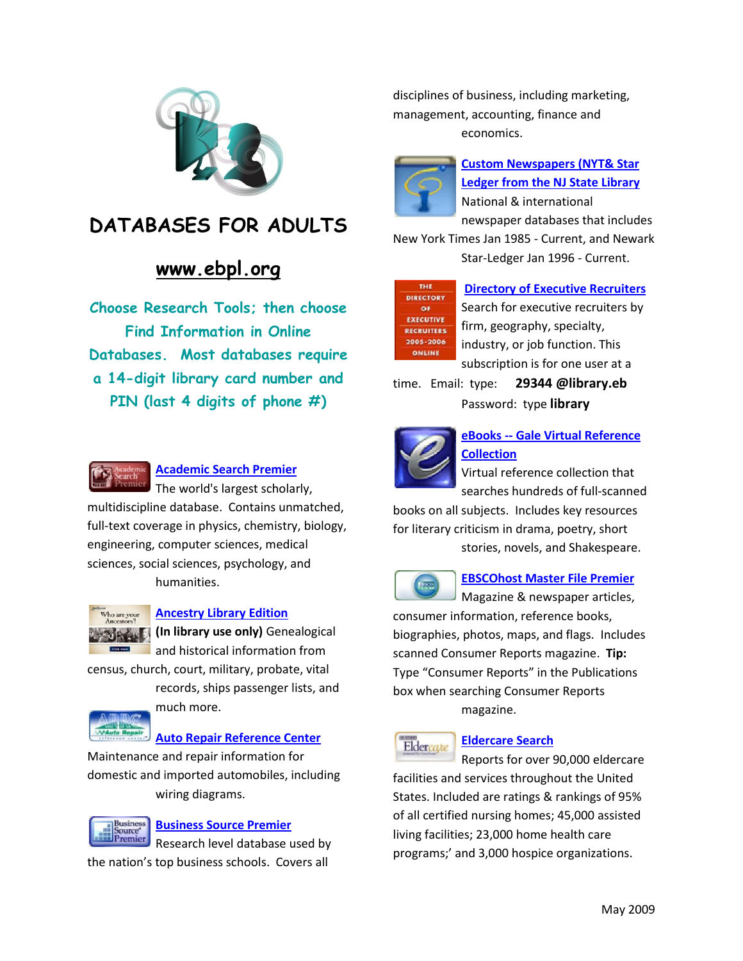

## **DATABASES FOR ADULTS**

## **[www.ebpl.org](http://www.ebpl.org/)**

**Choose Research Tools; then choose Find Information in Online Databases. Most databases require a 14-digit library card number and PIN (last 4 digits of phone #)**



#### **[Academic Search Premier](http://search.ebscohost.com/login.aspx?authtype=ip,cpid&custid=ebplinf&profile=ehost&defaultdb=aph)**

The world's largest scholarly, multidiscipline database. Contains unmatched, full-text coverage in physics, chemistry, biology, engineering, computer sciences, medical sciences, social sciences, psychology, and humanities.



#### **[Ancestry Library Edition](http://ancestrylibrary.proquest.com/)**

**(In library use only)** Genealogical and historical information from

census, church, court, military, probate, vital

records, ships passenger lists, and much more.

#### **[Auto Repair Reference Center](http://search.epnet.com/login.aspx?authtype=ip,cpid&custid=ebplinf&profile=autorefctr)**

Maintenance and repair information for domestic and imported automobiles, including wiring diagrams.



#### **[Business Source Premier](http://search.ebscohost.com/login.aspx?authtype=ip,cpid&custid=ebplinf&profile=ehost&defaultdb=buh)**

Research level database used by the nation's top business schools. Covers all

disciplines of business, including marketing, management, accounting, finance and economics.



## **[Custom Newspapers \(NYT& Star](http://infotrac.galegroup.com/itweb/njslnews_lmac)  [Ledger from the NJ State Library](http://infotrac.galegroup.com/itweb/njslnews_lmac)** National & international

newspaper databases that includes New York Times Jan 1985 - Current, and Newark Star-Ledger Jan 1996 - Current.



#### **[Directory of Executive Recruiters](http://www.myredder.com/)**

Search for executive recruiters by firm, geography, specialty, industry, or job function. This subscription is for one user at a

time. Email: type: **29344 @library.eb** Password: type **library**



### **eBooks -- [Gale Virtual Reference](http://infotrac.galegroup.com/itweb/e72886?db=GVRL)  [Collection](http://infotrac.galegroup.com/itweb/e72886?db=GVRL)**

Virtual reference collection that

searches hundreds of full-scanned books on all subjects. Includes key resources for literary criticism in drama, poetry, short

stories, novels, and Shakespeare.



#### **[EBSCOhost Master File Premier](http://search.ebscohost.com/login.aspx?authtype=ip,cpid&custid=ebplinf&profile=ehost&defaultdb=f5h)**

Magazine & newspaper articles, consumer information, reference books, biographies, photos, maps, and flags. Includes scanned Consumer Reports magazine. **Tip:** Type "Consumer Reports" in the Publications box when searching Consumer Reports magazine.

# Eldercate

#### **[Eldercare Search](http://search.ebscohost.com/login.aspx?authtype=ip,cpid&custid=ebplinf&site=care&return=y)**

Reports for over 90,000 eldercare facilities and services throughout the United States. Included are ratings & rankings of 95% of all certified nursing homes; 45,000 assisted living facilities; 23,000 home health care programs;' and 3,000 hospice organizations.